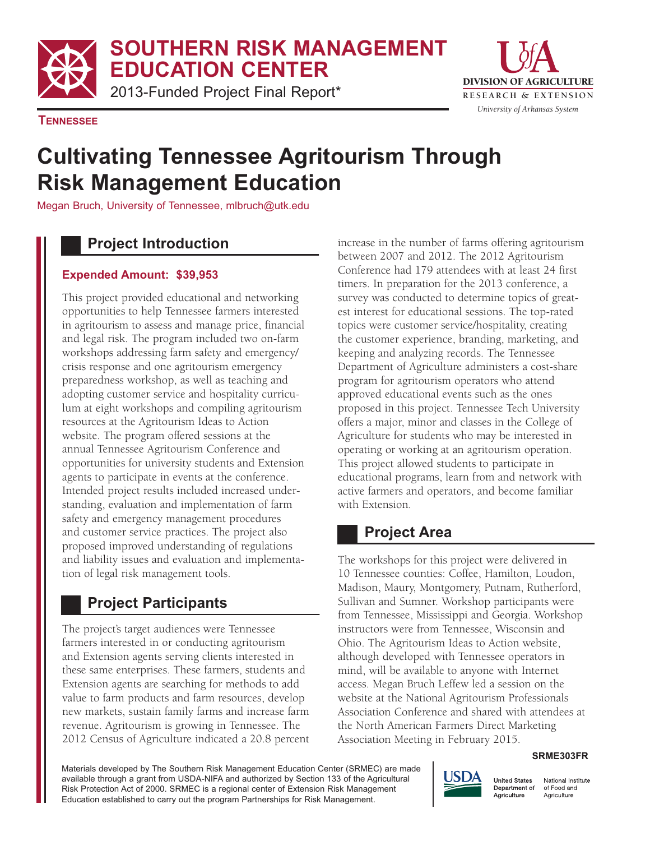**SOUTHERN RISK MANAGEMENT EDUCATION CENTER**

2013-Funded Project Final Report\*



**TENNESSEE**

# **Cultivating Tennessee Agritourism Through Risk Management Education**

Megan Bruch, University of Tennessee, mlbruch@utk.edu

## **Project Introduction**

#### **Expended Amount: \$39,953**

This project provided educational and networking opportunities to help Tennessee farmers interested in agritourism to assess and manage price, financial and legal risk. The program included two on-farm workshops addressing farm safety and emergency/ crisis response and one agritourism emergency preparedness workshop, as well as teaching and adopting customer service and hospitality curriculum at eight workshops and compiling agritourism resources at the Agritourism Ideas to Action website. The program offered sessions at the annual Tennessee Agritourism Conference and opportunities for university students and Extension agents to participate in events at the conference. Intended project results included increased understanding, evaluation and implementation of farm safety and emergency management procedures and customer service practices. The project also proposed improved understanding of regulations and liability issues and evaluation and implementation of legal risk management tools.

# **Project Participants**

The project's target audiences were Tennessee farmers interested in or conducting agritourism and Extension agents serving clients interested in these same enterprises. These farmers, students and Extension agents are searching for methods to add value to farm products and farm resources, develop new markets, sustain family farms and increase farm revenue. Agritourism is growing in Tennessee. The 2012 Census of Agriculture indicated a 20.8 percent increase in the number of farms offering agritourism between 2007 and 2012. The 2012 Agritourism Conference had 179 attendees with at least 24 first timers. In preparation for the 2013 conference, a survey was conducted to determine topics of greatest interest for educational sessions. The top-rated topics were customer service/hospitality, creating the customer experience, branding, marketing, and keeping and analyzing records. The Tennessee Department of Agriculture administers a cost-share program for agritourism operators who attend approved educational events such as the ones proposed in this project. Tennessee Tech University offers a major, minor and classes in the College of Agriculture for students who may be interested in operating or working at an agritourism operation. This project allowed students to participate in educational programs, learn from and network with active farmers and operators, and become familiar with Extension.

## **Project Area**

The workshops for this project were delivered in 10 Tennessee counties: Coffee, Hamilton, Loudon, Madison, Maury, Montgomery, Putnam, Rutherford, Sullivan and Sumner. Workshop participants were from Tennessee, Mississippi and Georgia. Workshop instructors were from Tennessee, Wisconsin and Ohio. The Agritourism Ideas to Action website, although developed with Tennessee operators in mind, will be available to anyone with Internet access. Megan Bruch Leffew led a session on the website at the National Agritourism Professionals Association Conference and shared with attendees at the North American Farmers Direct Marketing Association Meeting in February 2015.

#### **SRME303FR**

Materials developed by The Southern Risk Management Education Center (SRMEC) are made available through a grant from USDA-NIFA and authorized by Section 133 of the Agricultural Risk Protection Act of 2000. SRMEC is a regional center of Extension Risk Management Education established to carry out the program Partnerships for Risk Management.



National Institute of Food and Agriculture